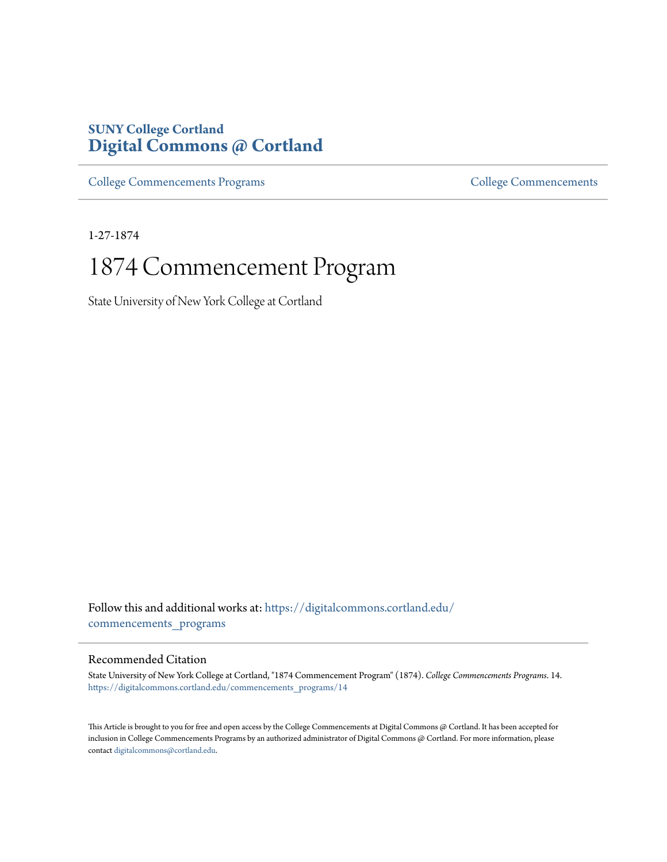### **SUNY College Cortland [Digital Commons @ Cortland](https://digitalcommons.cortland.edu?utm_source=digitalcommons.cortland.edu%2Fcommencements_programs%2F14&utm_medium=PDF&utm_campaign=PDFCoverPages)**

[College Commencements Programs](https://digitalcommons.cortland.edu/commencements_programs?utm_source=digitalcommons.cortland.edu%2Fcommencements_programs%2F14&utm_medium=PDF&utm_campaign=PDFCoverPages) **[College Commencements](https://digitalcommons.cortland.edu/commencements?utm_source=digitalcommons.cortland.edu%2Fcommencements_programs%2F14&utm_medium=PDF&utm_campaign=PDFCoverPages)** College Commencements

1-27-1874

## 1874 Commencement Program

State University of New York College at Cortland

Follow this and additional works at: [https://digitalcommons.cortland.edu/](https://digitalcommons.cortland.edu/commencements_programs?utm_source=digitalcommons.cortland.edu%2Fcommencements_programs%2F14&utm_medium=PDF&utm_campaign=PDFCoverPages) [commencements\\_programs](https://digitalcommons.cortland.edu/commencements_programs?utm_source=digitalcommons.cortland.edu%2Fcommencements_programs%2F14&utm_medium=PDF&utm_campaign=PDFCoverPages)

### Recommended Citation

State University of New York College at Cortland, "1874 Commencement Program" (1874). *College Commencements Programs*. 14. [https://digitalcommons.cortland.edu/commencements\\_programs/14](https://digitalcommons.cortland.edu/commencements_programs/14?utm_source=digitalcommons.cortland.edu%2Fcommencements_programs%2F14&utm_medium=PDF&utm_campaign=PDFCoverPages)

This Article is brought to you for free and open access by the College Commencements at Digital Commons @ Cortland. It has been accepted for inclusion in College Commencements Programs by an authorized administrator of Digital Commons @ Cortland. For more information, please contact [digitalcommons@cortland.edu.](mailto:digitalcommons@cortland.edu)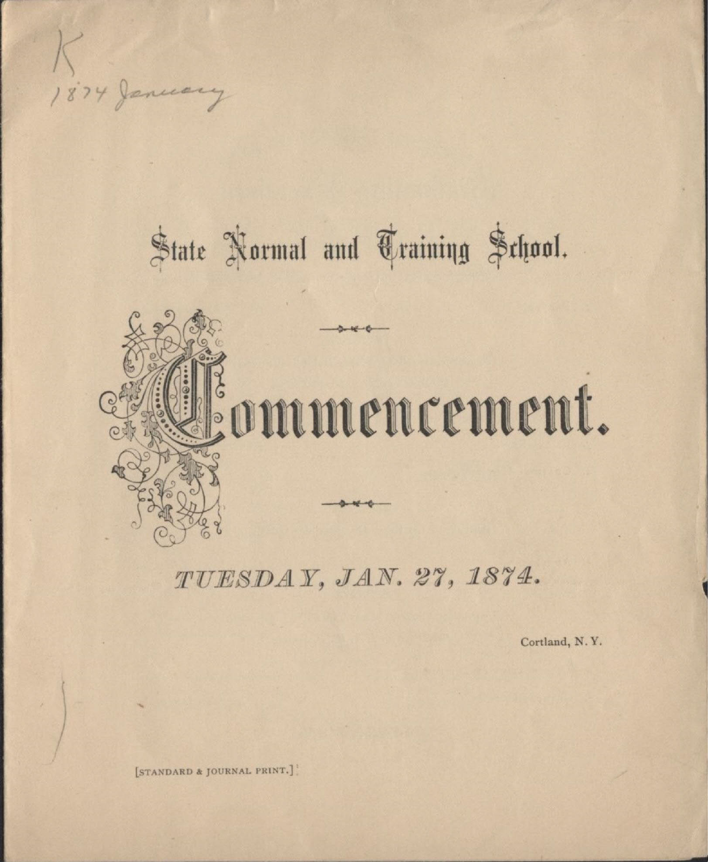

## State Normal and Training School.



TUESDAY, JAN. 27, 1874.

Cortland, N.Y.

[STANDARD & JOURNAL PRINT.]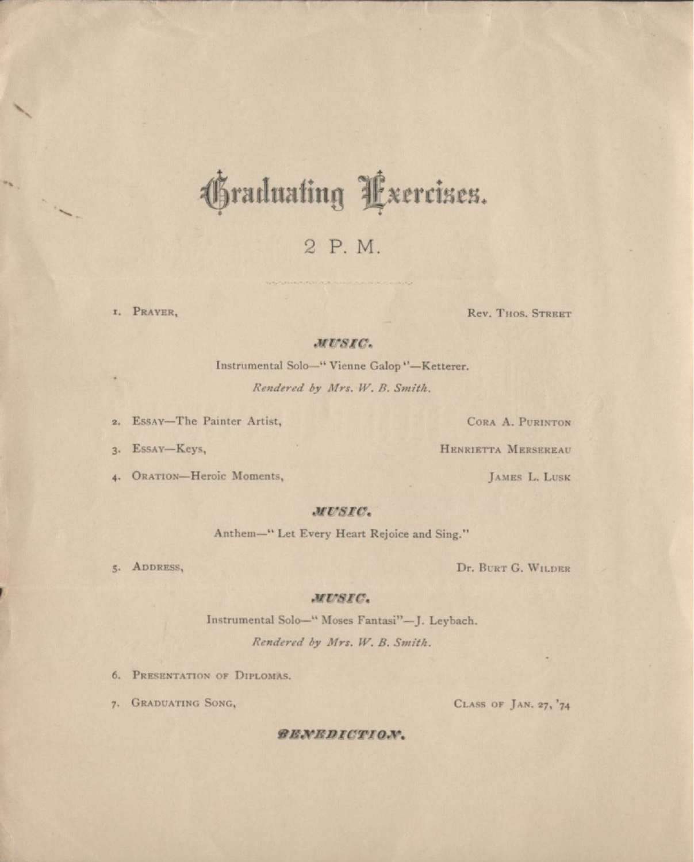## hraduating Lxercises.

 $2P.M.$ 

I. PRAYER,

 $\mathbf{H}_{\mathbf{X}}$ 

- 1

Rev. THOS, STREET

#### MUSIC.

Instrumental Solo-"Vienne Galop"-Ketterer. Rendered by Mrs. W. B. Smith.

2. Essay-The Painter Artist,

3. Essay-Keys,

4. ORATION-Heroic Moments,

CORA A. PURINTON

HENRIETTA MERSEREAU

**JAMES L. LUSK** 

#### MUSIC.

Anthem-" Let Every Heart Rejoice and Sing."

5. ADDRESS,

Dr. BURT G. WILDER

#### MUSIC.

Instrumental Solo-" Moses Fantasi"-J. Leybach.

Rendered by Mrs. W. B. Smith.

6. PRESENTATION OF DIPLOMAS.

7. GRADUATING SONG,

CLASS OF JAN. 27, '74

#### *RENEDICTION.*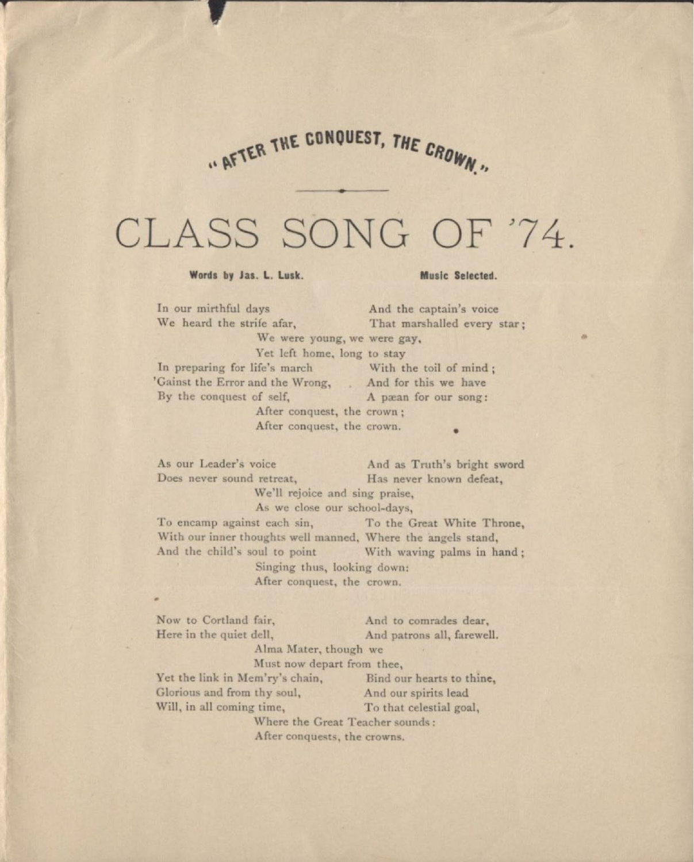## .. AFTER THE CUNQUEST,

## CLASS SONG OF '74.

Words by Jas. L. Lusk. Music Selected.

, **,**

•

In our mirthful days<br>
We heard the strife afar.<br>
That marshalled every We were young, we were gay, Yet left home, long to stay In preparing for life's march With the toil of mind; 'Gainst the Error and the Wrong, And for this we have By the conquest of self, A paean for our song: After conquest, the crown: After conquest, the crown.

That marshalled every star;

As our Leader's voice And as Truth's bright sword Does never sound retreat, Has never known defeat, We'll rejoice and sing praise, As we close our school-days, To encamp against each sin, To the Great White Throne, With our inner thoughts well manned, Where the angels stand, And the child's soul to point With waving palms in hand; Singing thus, looking down: After conquest, the crown.

Now to Cortland fair,<br>
Here in the quiet dell,<br>
And patrons all, farewel And patrons all, farewell. Alma Mater, though we Must now depart from thee, Yet the link in Mem'ry's chain, Bind our hearts to thine, Glorious and from thy soul, And our spirits lead Will, in all coming time, To that celestial goal, Where the Great Teacher sounds: After conquests, the crowns.